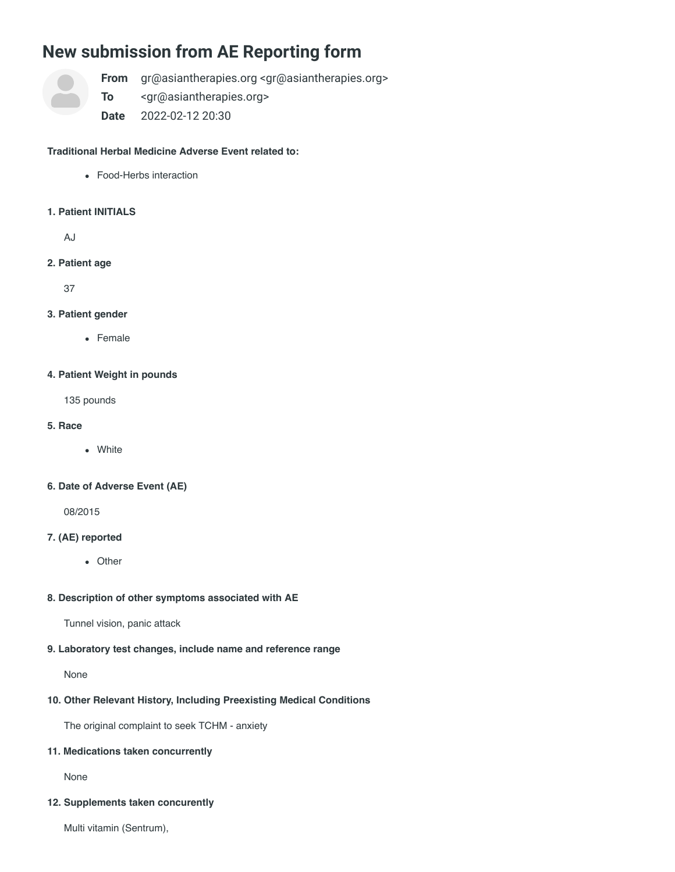# **New submission from AE Reporting form**



**From** gr@asiantherapies.org <gr@asiantherapies.org>

**To** <gr@asiantherapies.org>

**Date** 2022-02-12 20:30

# **Traditional Herbal Medicine Adverse Event related to:**

Food-Herbs interaction

# **1. Patient INITIALS**

AJ

**2. Patient age**

37

# **3. Patient gender**

Female

# **4. Patient Weight in pounds**

135 pounds

- **5. Race**
	- White

# **6. Date of Adverse Event (AE)**

08/2015

# **7. (AE) reported**

• Other

# **8. Description of other symptoms associated with AE**

Tunnel vision, panic attack

# **9. Laboratory test changes, include name and reference range**

None

# **10. Other Relevant History, Including Preexisting Medical Conditions**

The original complaint to seek TCHM - anxiety

# **11. Medications taken concurrently**

None

# **12. Supplements taken concurently**

Multi vitamin (Sentrum),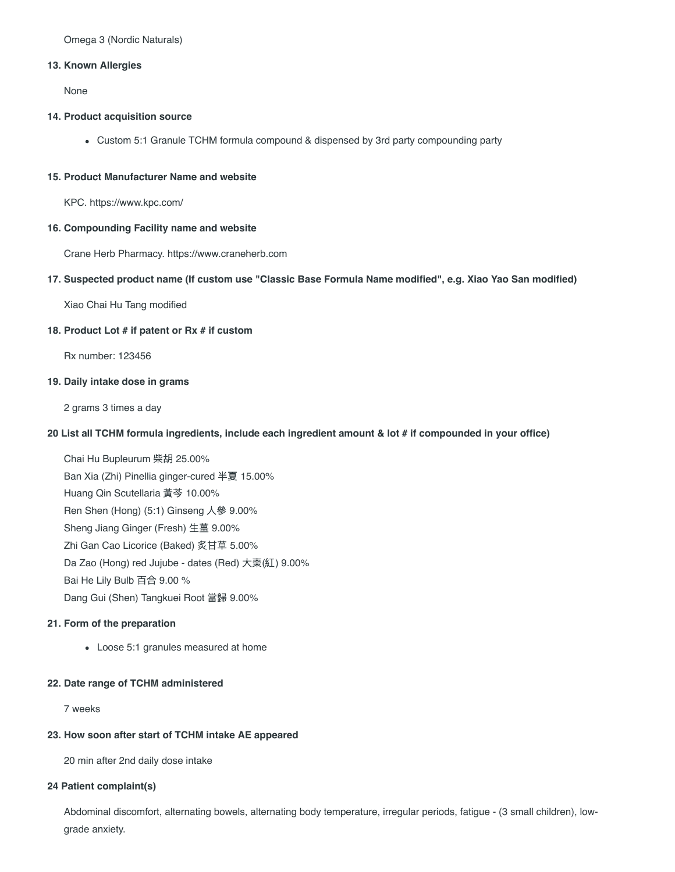#### **13. Known Allergies**

None

#### **14. Product acquisition source**

Custom 5:1 Granule TCHM formula compound & dispensed by 3rd party compounding party

#### **15. Product Manufacturer Name and website**

KPC. https://www.kpc.com/

#### **16. Compounding Facility name and website**

Crane Herb Pharmacy. https://www.craneherb.com

#### **17. Suspected product name (If custom use "Classic Base Formula Name modified", e.g. Xiao Yao San modified)**

Xiao Chai Hu Tang modified

#### **18. Product Lot # if patent or Rx # if custom**

Rx number: 123456

#### **19. Daily intake dose in grams**

2 grams 3 times a day

#### **20 List all TCHM formula ingredients, include each ingredient amount & lot # if compounded in your office)**

Chai Hu Bupleurum 柴胡 25.00% Ban Xia (Zhi) Pinellia ginger-cured 半夏 15.00% Huang Qin Scutellaria 黃芩 10.00% Ren Shen (Hong) (5:1) Ginseng ⼈參 9.00% Sheng Jiang Ginger (Fresh) ⽣薑 9.00% Zhi Gan Cao Licorice (Baked) 炙⽢草 5.00% Da Zao (Hong) red Jujube - dates (Red) ⼤棗(紅) 9.00% Bai He Lily Bulb 百合 9.00 % Dang Gui (Shen) Tangkuei Root 當歸 9.00%

#### **21. Form of the preparation**

Loose 5:1 granules measured at home

# **22. Date range of TCHM administered**

7 weeks

#### **23. How soon after start of TCHM intake AE appeared**

20 min after 2nd daily dose intake

# **24 Patient complaint(s)**

Abdominal discomfort, alternating bowels, alternating body temperature, irregular periods, fatigue - (3 small children), lowgrade anxiety.